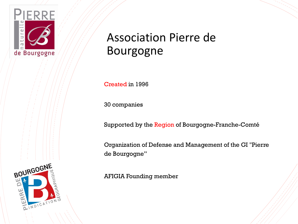

### Association Pierre de Bourgogne

Created in 1996

30 companies

Supported by the Region of Bourgogne-Franche-Comté

Organization of Defense and Management of the GI "Pierre de Bourgogne"

AFIGIA Founding member

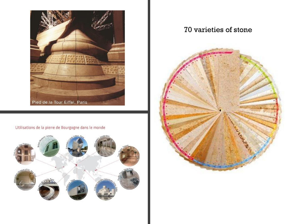

#### Utilisations de la pierre de Bourgogne dans le monde



### 70 varieties of stone

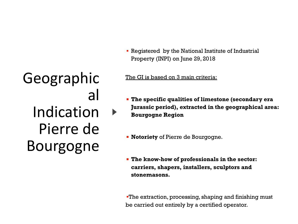Geographic al Indication Pierre de Bourgogne

**• Registered by the National Institute of Industrial** Property (INPI) on June 29, 2018

#### The GI is based on 3 main criteria:

- **The specific qualities of limestone (secondary era Jurassic period), extracted in the geographical area: Bourgogne Region**
- **Notoriety** of Pierre de Bourgogne.
- **The know-how of professionals in the sector: carriers, shapers, installers, sculptors and stonemasons.**

**The extraction, processing, shaping and finishing must** be carried out entirely by a certified operator.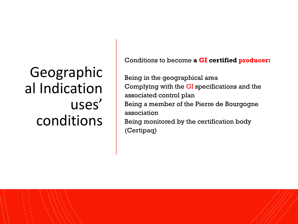## Geographic al Indication uses' conditions

Conditions to become **a GI certified producer:**

Being in the geographical area Complying with the GI specifications and the associated control plan Being a member of the Pierre de Bourgogne association Being monitored by the certification body (Certipaq)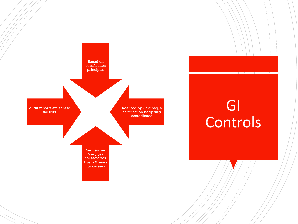

## GI Controls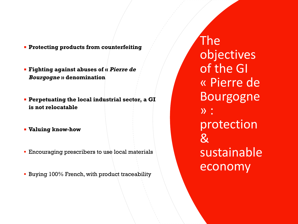- **Protecting products from counterfeiting**
- **Fighting against abuses of « Pierre de Bourgogne » denomination**
- **Perpetuating the local industrial sector, a GI is not relocatable**
- **Valuing know-how**
- **Encouraging prescribers to use local materials**
- **E** Buying 100% French, with product traceability

The objectives of the GI « Pierre de Bourgogne » : protection  $\mathcal{R}% _{G}$ sustainable economy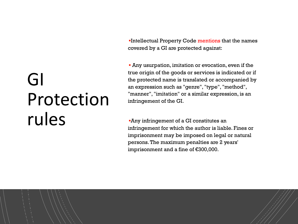▪Intellectual Property Code mentions that the names covered by a GI are protected against:

**• Any usurpation, imitation or evocation, even if the** true origin of the goods or services is indicated or if the protected name is translated or accompanied by an expression such as "genre", "type", "method", "manner", "imitation" or a similar expression, is an infringement of the GI.

▪Any infringement of a GI constitutes an infringement for which the author is liable. Fines or imprisonment may be imposed on legal or natural persons. The maximum penalties are 2 years' imprisonment and a fine of €300,000.

# GI Protection rules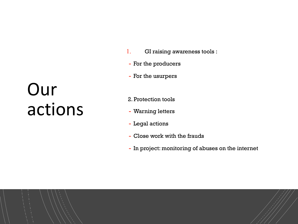# Our actions

- 1. GI raising awareness tools :
- For the producers
- For the usurpers
- 2. Protection tools
- Warning letters
- Legal actions
- Close work with the frauds
- In project: monitoring of abuses on the internet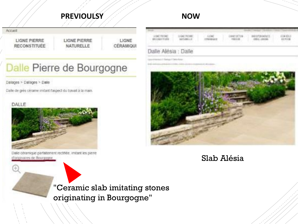### **PREVIOULSY And Account ACCOUNT ACCOUNT ACCOUNT ACCOUNT ACCOUNT ACCOUNT ACCOUNT ACCOUNT ACCOUNT ACCOUNT ACCOUNT**

Accurit

LIGNE PIERRE **RECONSTITUÉE**  **LIGNE PIERRE** NATURELLE

LIGNE CERAMIQU

## Dalle Pierre de Bourgogne

#### Dalages > Dalages > Dale

Dalle de grés cérame imitant l'aspect du travail à la main.

#### DALLE



Dalle céramique parfaitement rectifiée. Imitant les pierre d'originaires de Bourgogne.

|                        |              |                  |       | 15100471898      | の角質性<br><b>AN POINT</b> |
|------------------------|--------------|------------------|-------|------------------|-------------------------|
| <b>WELL-MAIL TURES</b> | ADTENBALL BY | <b>N.I GILLI</b> | PALLA | <b>John Line</b> |                         |

#### Listie Alesa : Ualle



### Slab Alésia

"Ceramic slab imitating stones originating in Bourgogne"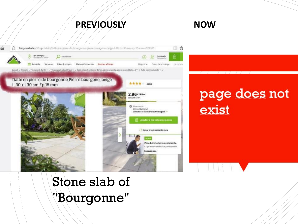### **PREVIOUSLY NOW**



## Stone slab of "Bourgonne"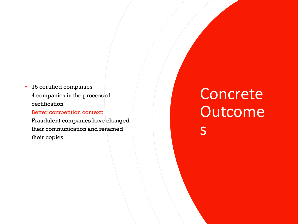**·** 15 certified companies 4 companies in the process of certification

Better competition context:

Fraudulent companies have changed their communication and renamed their copies

## **Concrete Outcome** s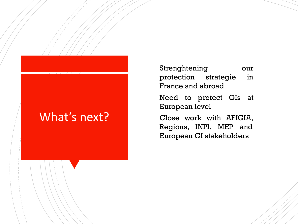## What's next?

Strenghtening our protection strategie in France and abroad Need to protect GIs at European level Close work with AFIGIA, Regions, INPI, MEP and European GI stakeholders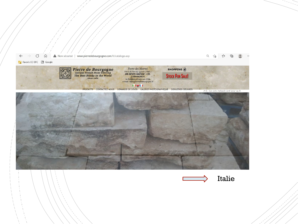